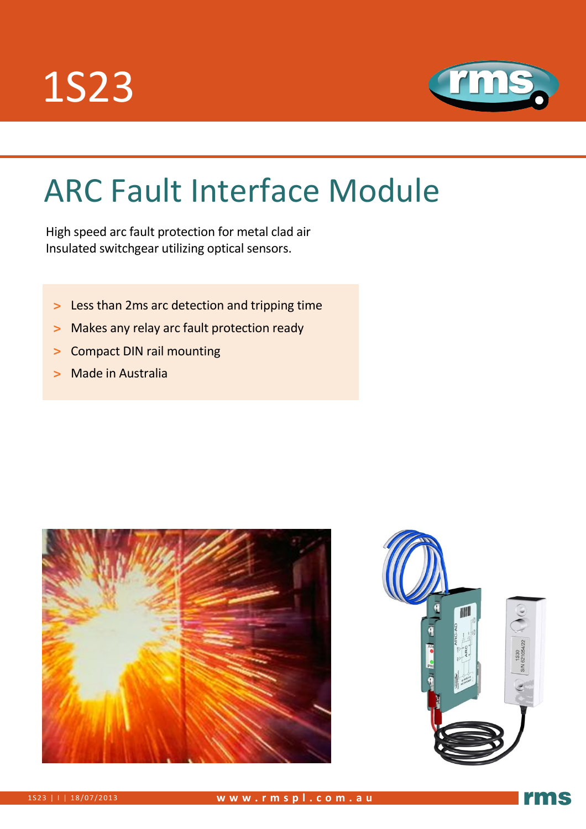



# ARC Fault Interface Module

High speed arc fault protection for metal clad air Insulated switchgear utilizing optical sensors.

- **>** Less than 2ms arc detection and tripping time
- **>** Makes any relay arc fault protection ready
- **>** Compact DIN rail mounting
- **>** Made in Australia





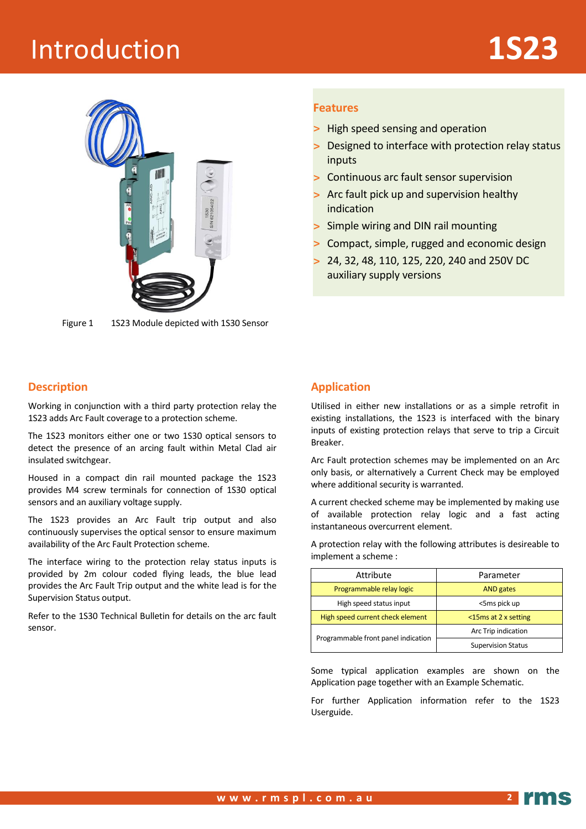# **Introduction**



Figure 1 1S23 Module depicted with 1S30 Sensor

#### **Description**

Working in conjunction with a third party protection relay the 1S23 adds Arc Fault coverage to a protection scheme.

The 1S23 monitors either one or two 1S30 optical sensors to detect the presence of an arcing fault within Metal Clad air insulated switchgear.

Housed in a compact din rail mounted package the 1S23 provides M4 screw terminals for connection of 1S30 optical sensors and an auxiliary voltage supply.

The 1S23 provides an Arc Fault trip output and also continuously supervises the optical sensor to ensure maximum availability of the Arc Fault Protection scheme.

The interface wiring to the protection relay status inputs is provided by 2m colour coded flying leads, the blue lead provides the Arc Fault Trip output and the white lead is for the Supervision Status output.

Refer to the 1S30 Technical Bulletin for details on the arc fault sensor.

#### **Features**

- **>** High speed sensing and operation
- **>** Designed to interface with protection relay status inputs
- **>** Continuous arc fault sensor supervision
- **>** Arc fault pick up and supervision healthy indication
- **>** Simple wiring and DIN rail mounting
- **>** Compact, simple, rugged and economic design
- **>** 24, 32, 48, 110, 125, 220, 240 and 250V DC auxiliary supply versions

#### **Application**

Utilised in either new installations or as a simple retrofit in existing installations, the 1S23 is interfaced with the binary inputs of existing protection relays that serve to trip a Circuit Breaker.

Arc Fault protection schemes may be implemented on an Arc only basis, or alternatively a Current Check may be employed where additional security is warranted.

A current checked scheme may be implemented by making use of available protection relay logic and a fast acting instantaneous overcurrent element.

A protection relay with the following attributes is desireable to implement a scheme :

| Attribute                           | Parameter                 |  |
|-------------------------------------|---------------------------|--|
| Programmable relay logic            | <b>AND</b> gates          |  |
| High speed status input             | <5ms pick up              |  |
| High speed current check element    | $<$ 15 ms at 2 x setting  |  |
| Programmable front panel indication | Arc Trip indication       |  |
|                                     | <b>Supervision Status</b> |  |

Some typical application examples are shown on the Application page together with an Example Schematic.

For further Application information refer to the 1S23 Userguide.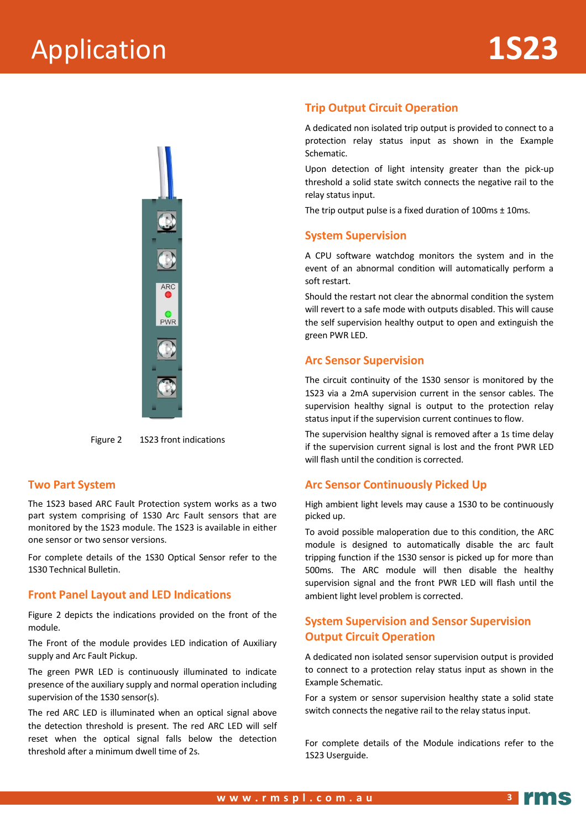

Figure 2 1S23 front indications

#### **Two Part System**

The 1S23 based ARC Fault Protection system works as a two part system comprising of 1S30 Arc Fault sensors that are monitored by the 1S23 module. The 1S23 is available in either one sensor or two sensor versions.

For complete details of the 1S30 Optical Sensor refer to the 1S30 Technical Bulletin.

#### **Front Panel Layout and LED Indications**

Figure 2 depicts the indications provided on the front of the module.

The Front of the module provides LED indication of Auxiliary supply and Arc Fault Pickup.

The green PWR LED is continuously illuminated to indicate presence of the auxiliary supply and normal operation including supervision of the 1S30 sensor(s).

The red ARC LED is illuminated when an optical signal above the detection threshold is present. The red ARC LED will self reset when the optical signal falls below the detection threshold after a minimum dwell time of 2s.

#### **Trip Output Circuit Operation**

A dedicated non isolated trip output is provided to connect to a protection relay status input as shown in the Example Schematic.

Upon detection of light intensity greater than the pick-up threshold a solid state switch connects the negative rail to the relay status input.

The trip output pulse is a fixed duration of  $100 \text{ms} \pm 10 \text{ms}$ .

#### **System Supervision**

A CPU software watchdog monitors the system and in the event of an abnormal condition will automatically perform a soft restart.

Should the restart not clear the abnormal condition the system will revert to a safe mode with outputs disabled. This will cause the self supervision healthy output to open and extinguish the green PWR LED.

#### **Arc Sensor Supervision**

The circuit continuity of the 1S30 sensor is monitored by the 1S23 via a 2mA supervision current in the sensor cables. The supervision healthy signal is output to the protection relay status input if the supervision current continues to flow.

The supervision healthy signal is removed after a 1s time delay if the supervision current signal is lost and the front PWR LED will flash until the condition is corrected.

#### **Arc Sensor Continuously Picked Up**

High ambient light levels may cause a 1S30 to be continuously picked up.

To avoid possible maloperation due to this condition, the ARC module is designed to automatically disable the arc fault tripping function if the 1S30 sensor is picked up for more than 500ms. The ARC module will then disable the healthy supervision signal and the front PWR LED will flash until the ambient light level problem is corrected.

#### **System Supervision and Sensor Supervision Output Circuit Operation**

A dedicated non isolated sensor supervision output is provided to connect to a protection relay status input as shown in the Example Schematic.

For a system or sensor supervision healthy state a solid state switch connects the negative rail to the relay status input.

For complete details of the Module indications refer to the 1S23 Userguide.

**3**

17 M.S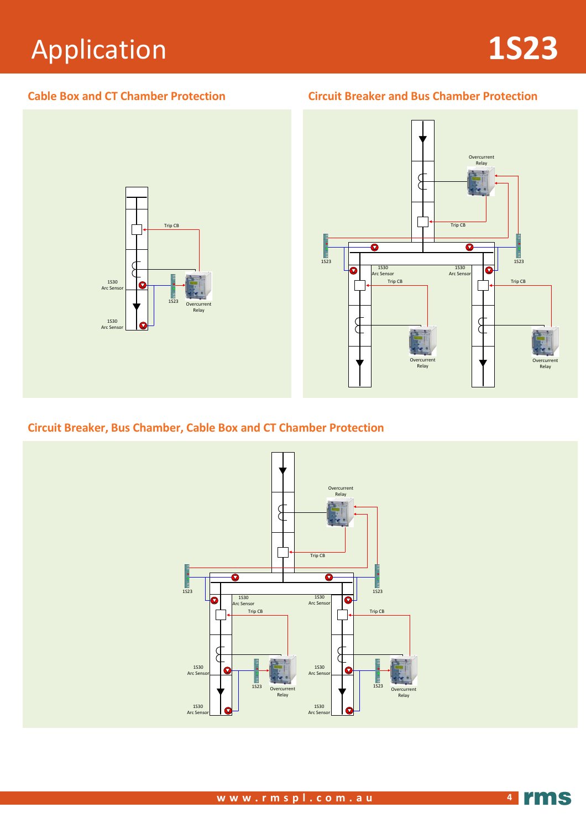# Application **1S23**

**Cable Box and CT Chamber Protection Circuit Breaker and Bus Chamber Protection**





# **Circuit Breaker, Bus Chamber, Cable Box and CT Chamber Protection**

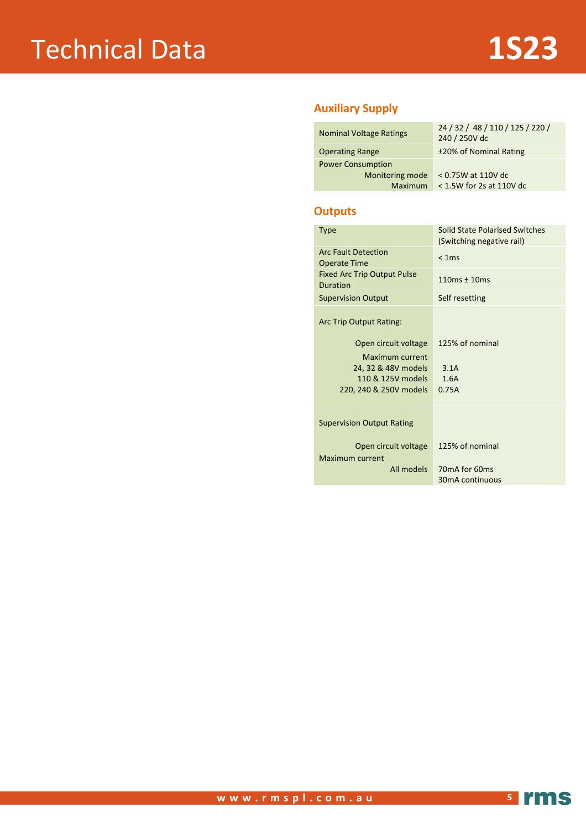### **Auxiliary Supply**

| <b>Nominal Voltage Ratings</b>                                | 24 / 32 / 48 / 110 / 125 / 220 /<br>240 / 250V dc |
|---------------------------------------------------------------|---------------------------------------------------|
| <b>Operating Range</b>                                        | ±20% of Nominal Rating                            |
| <b>Power Consumption</b><br>Monitoring mode<br><b>Maximum</b> | < 0.75W at 110V dc<br>$<$ 1.5W for 2s at 110V dc  |

#### **Outputs**

| <b>Type</b>                                           | Solid State Polarised Switches<br>(Switching negative rail) |
|-------------------------------------------------------|-------------------------------------------------------------|
| <b>Arc Fault Detection</b><br><b>Operate Time</b>     | < 1ms                                                       |
| <b>Fixed Arc Trip Output Pulse</b><br><b>Duration</b> | $110ms \pm 10ms$                                            |
| <b>Supervision Output</b>                             | Self resetting                                              |
| Arc Trip Output Rating:                               |                                                             |
| Open circuit voltage                                  | 125% of nominal                                             |
| Maximum current                                       |                                                             |
| 24, 32 & 48V models                                   | 3.1A                                                        |
| 110 & 125V models                                     | 1.6A                                                        |
| 220, 240 & 250V models                                | 0.75A                                                       |
|                                                       |                                                             |
| <b>Supervision Output Rating</b>                      |                                                             |
| Open circuit voltage                                  | 125% of nominal                                             |
| Maximum current                                       |                                                             |
| All models                                            | 70 <sub>m</sub> A for 60 <sub>ms</sub>                      |
|                                                       | 30mA continuous                                             |
|                                                       |                                                             |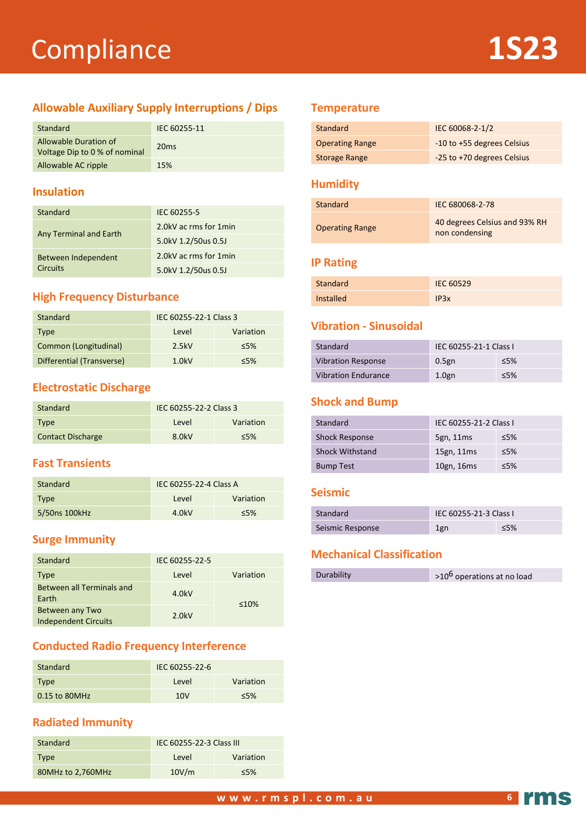# Compliance **1S23**

# **Allowable Auxiliary Supply Interruptions / Dips**

| Standard                                               | IEC 60255-11 |
|--------------------------------------------------------|--------------|
| Allowable Duration of<br>Voltage Dip to 0 % of nominal | 20ms         |
| Allowable AC ripple                                    | 15%          |

### **Insulation**

| Standard               | IEC 60255-5           |
|------------------------|-----------------------|
| Any Terminal and Earth | 2.0kV ac rms for 1min |
|                        | 5.0kV 1.2/50us 0.5J   |
| Between Independent    | 2.0kV ac rms for 1min |
| <b>Circuits</b>        | 5.0kV 1.2/50us 0.5J   |

# **High Frequency Disturbance**

| Standard                  | IEC 60255-22-1 Class 3 |           |
|---------------------------|------------------------|-----------|
| Type                      | Level                  | Variation |
| Common (Longitudinal)     | 2.5kV                  | $5\%$     |
| Differential (Transverse) | 1.0kV                  | $<$ 5%    |

# **Electrostatic Discharge**

| Standard                 | IEC 60255-22-2 Class 3 |           |
|--------------------------|------------------------|-----------|
| <b>Type</b>              | Level                  | Variation |
| <b>Contact Discharge</b> | 8.0kV                  | $<$ 5%    |

# **Fast Transients**

| Standard      | IEC 60255-22-4 Class A |           |
|---------------|------------------------|-----------|
| Type          | Level                  | Variation |
| 5/50ns 100kHz | 4.0kV                  | $5\%$     |

# **Surge Immunity**

| Standard                                       | IEC 60255-22-5 |             |
|------------------------------------------------|----------------|-------------|
| Type                                           | Level          | Variation   |
| <b>Between all Terminals and</b><br>Earth      | 4.0kV          | $\leq 10\%$ |
| Between any Two<br><b>Independent Circuits</b> | 2.0kV          |             |

# **Conducted Radio Frequency Interference**

| <b>Standard</b> | IEC 60255-22-6 |           |
|-----------------|----------------|-----------|
| <b>Type</b>     | Level          | Variation |
| $0.15$ to 80MHz | 10V            | $5\%$     |

# **Radiated Immunity**

| Standard          | IEC 60255-22-3 Class III |           |
|-------------------|--------------------------|-----------|
| <b>Type</b>       | Level                    | Variation |
| 80MHz to 2,760MHz | 10V/m                    | $5\%$     |

### **Temperature**

| Standard               | IEC 60068-2-1/2            |
|------------------------|----------------------------|
| <b>Operating Range</b> | -10 to +55 degrees Celsius |
| <b>Storage Range</b>   | -25 to +70 degrees Celsius |

### **Humidity**

| Standard               | IEC 680068-2-78                                 |
|------------------------|-------------------------------------------------|
| <b>Operating Range</b> | 40 degrees Celsius and 93% RH<br>non condensing |

#### **IP Rating**

| Standard         | IEC 60529 |
|------------------|-----------|
| <b>Installed</b> | IP3x      |

# **Vibration - Sinusoidal**

| Standard                   | IEC 60255-21-1 Class I |        |
|----------------------------|------------------------|--------|
| <b>Vibration Response</b>  | $0.5$ gn               | $<$ 5% |
| <b>Vibration Endurance</b> | $1.0g$ n               | $<$ 5% |

#### **Shock and Bump**

| Standard               | IEC 60255-21-2 Class I |        |
|------------------------|------------------------|--------|
| <b>Shock Response</b>  | 5gn, 11ms              | ≤5%    |
| <b>Shock Withstand</b> | 15gn, 11ms             | ≤5%    |
| <b>Bump Test</b>       | 10gn, 16ms             | $<$ 5% |

#### **Seismic**

| Standard         | <b>IEC 60255-21-3 Class I</b> |     |
|------------------|-------------------------------|-----|
| Seismic Response | 1gn                           | ≤5% |

# **Mechanical Classification**

|--|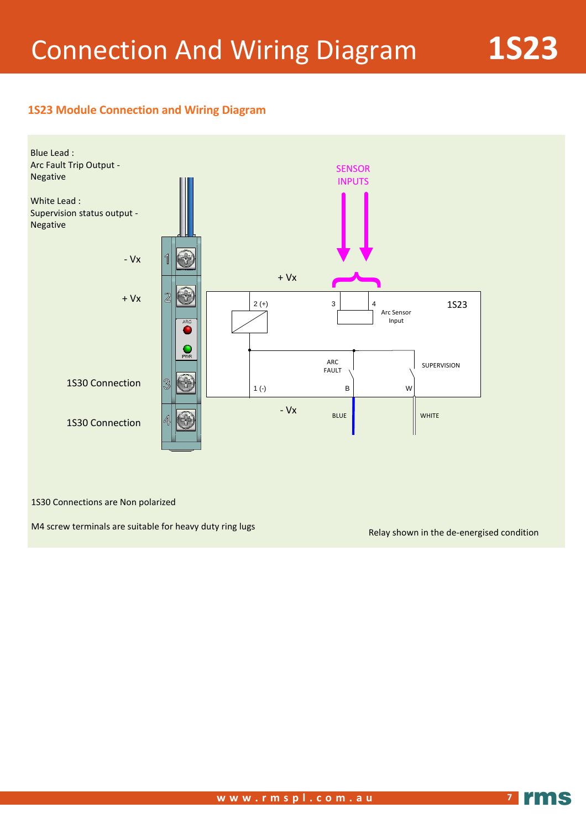### **1S23 Module Connection and Wiring Diagram**



1S30 Connections are Non polarized

M4 screw terminals are suitable for heavy duty ring lugs

Relay shown in the de-energised condition

**7**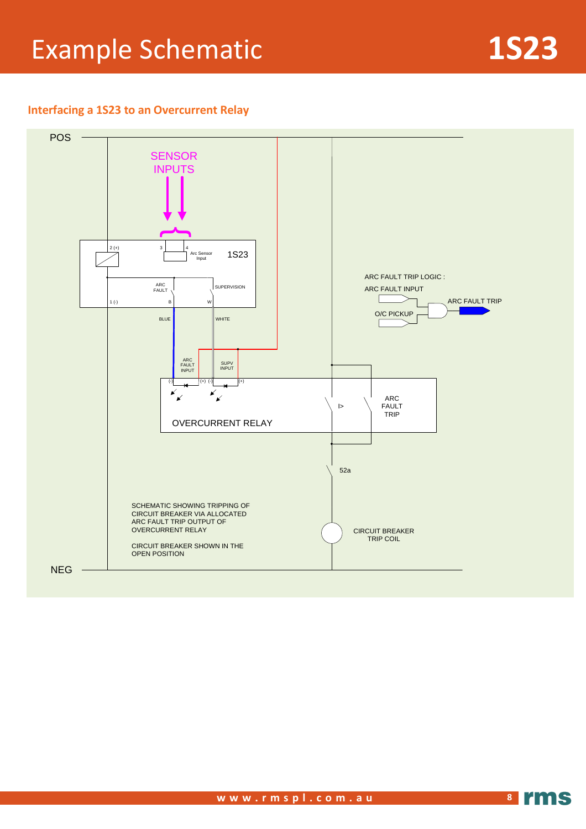# Example Schematic **1S23**

### **Interfacing a 1S23 to an Overcurrent Relay**

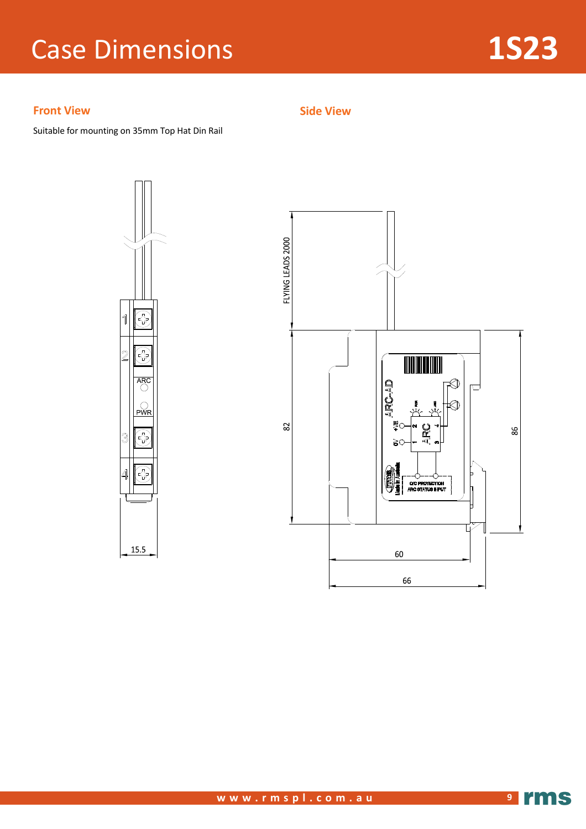# Case Dimensions **1S23**

### **Front View**

Suitable for mounting on 35mm Top Hat Din Rail





**Side View**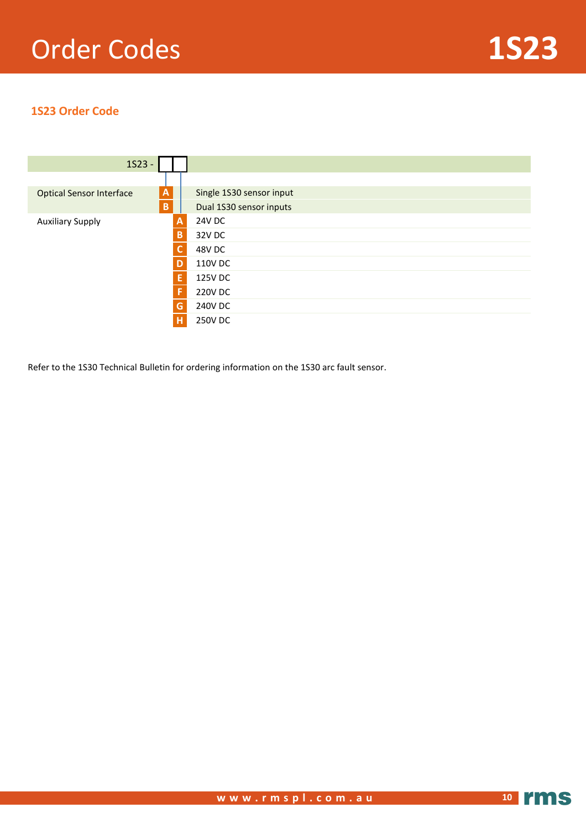# Order Codes **1S23**

# **1S23 Order Code**



Refer to the 1S30 Technical Bulletin for ordering information on the 1S30 arc fault sensor.